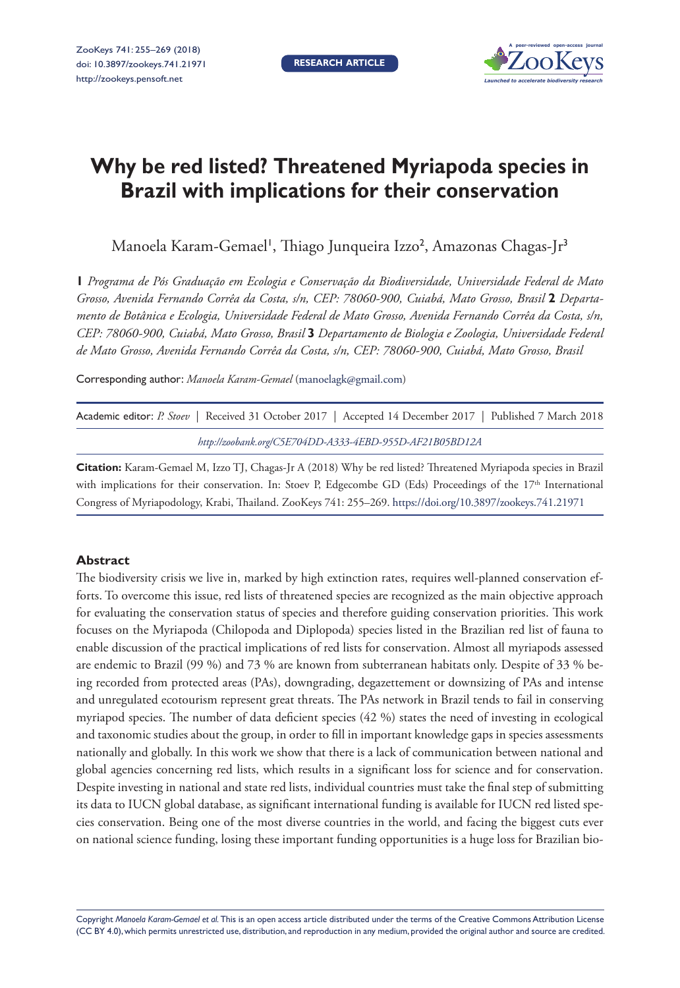**RESEARCH ARTICLE**



# **Why be red listed? Threatened Myriapoda species in Brazil with implications for their conservation**

Manoela Karam-Gemael', Thiago Junqueira Izzo<sup>2</sup>, Amazonas Chagas-Jr<sup>3</sup>

**1** *Programa de Pós Graduação em Ecologia e Conservação da Biodiversidade, Universidade Federal de Mato Grosso, Avenida Fernando Corrêa da Costa, s/n, CEP: 78060-900, Cuiabá, Mato Grosso, Brasil* **2** *Departamento de Botânica e Ecologia, Universidade Federal de Mato Grosso, Avenida Fernando Corrêa da Costa, s/n, CEP: 78060-900, Cuiabá, Mato Grosso, Brasil* **3** *Departamento de Biologia e Zoologia, Universidade Federal de Mato Grosso, Avenida Fernando Corrêa da Costa, s/n, CEP: 78060-900, Cuiabá, Mato Grosso, Brasil*

Corresponding author: *Manoela Karam-Gemael* ([manoelagk@gmail.com](mailto:manoelagk@gmail.com))

| Academic editor: P. Stoev   Received 31 October 2017   Accepted 14 December 2017   Published 7 March 2018 |  |                                                         |  |  |
|-----------------------------------------------------------------------------------------------------------|--|---------------------------------------------------------|--|--|
|                                                                                                           |  | http://zoobank.org/C5E704DD-A333-4EBD-955D-AF21B05BD12A |  |  |

**Citation:** Karam-Gemael M, Izzo TJ, Chagas-Jr A (2018) Why be red listed? Threatened Myriapoda species in Brazil with implications for their conservation. In: Stoev P, Edgecombe GD (Eds) Proceedings of the 17<sup>th</sup> International Congress of Myriapodology, Krabi, Thailand. ZooKeys 741: 255–269.<https://doi.org/10.3897/zookeys.741.21971>

## **Abstract**

The biodiversity crisis we live in, marked by high extinction rates, requires well-planned conservation efforts. To overcome this issue, red lists of threatened species are recognized as the main objective approach for evaluating the conservation status of species and therefore guiding conservation priorities. This work focuses on the Myriapoda (Chilopoda and Diplopoda) species listed in the Brazilian red list of fauna to enable discussion of the practical implications of red lists for conservation. Almost all myriapods assessed are endemic to Brazil (99 %) and 73 % are known from subterranean habitats only. Despite of 33 % being recorded from protected areas (PAs), downgrading, degazettement or downsizing of PAs and intense and unregulated ecotourism represent great threats. The PAs network in Brazil tends to fail in conserving myriapod species. The number of data deficient species (42 %) states the need of investing in ecological and taxonomic studies about the group, in order to fill in important knowledge gaps in species assessments nationally and globally. In this work we show that there is a lack of communication between national and global agencies concerning red lists, which results in a significant loss for science and for conservation. Despite investing in national and state red lists, individual countries must take the final step of submitting its data to IUCN global database, as significant international funding is available for IUCN red listed species conservation. Being one of the most diverse countries in the world, and facing the biggest cuts ever on national science funding, losing these important funding opportunities is a huge loss for Brazilian bio-

Copyright *Manoela Karam-Gemael et al.* This is an open access article distributed under the terms of the [Creative Commons Attribution License](http://creativecommons.org/licenses/by/4.0/)  [\(CC BY 4.0\)](http://creativecommons.org/licenses/by/4.0/), which permits unrestricted use, distribution, and reproduction in any medium, provided the original author and source are credited.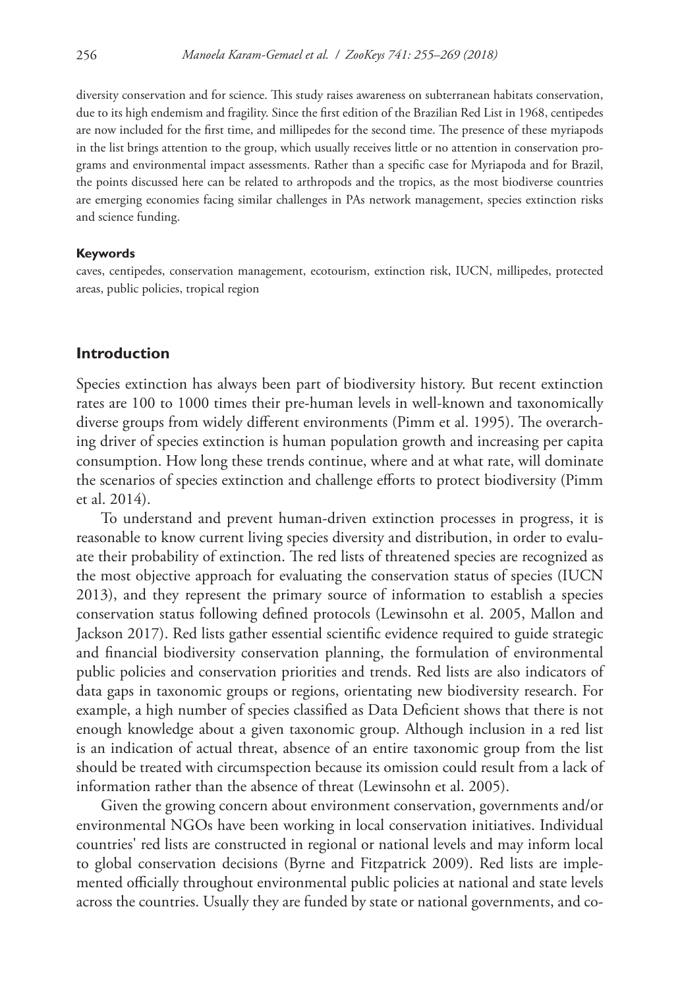diversity conservation and for science. This study raises awareness on subterranean habitats conservation, due to its high endemism and fragility. Since the first edition of the Brazilian Red List in 1968, centipedes are now included for the first time, and millipedes for the second time. The presence of these myriapods in the list brings attention to the group, which usually receives little or no attention in conservation programs and environmental impact assessments. Rather than a specific case for Myriapoda and for Brazil, the points discussed here can be related to arthropods and the tropics, as the most biodiverse countries are emerging economies facing similar challenges in PAs network management, species extinction risks and science funding.

#### **Keywords**

caves, centipedes, conservation management, ecotourism, extinction risk, IUCN, millipedes, protected areas, public policies, tropical region

#### **Introduction**

Species extinction has always been part of biodiversity history. But recent extinction rates are 100 to 1000 times their pre-human levels in well-known and taxonomically diverse groups from widely different environments (Pimm et al. 1995). The overarching driver of species extinction is human population growth and increasing per capita consumption. How long these trends continue, where and at what rate, will dominate the scenarios of species extinction and challenge efforts to protect biodiversity (Pimm et al. 2014).

To understand and prevent human-driven extinction processes in progress, it is reasonable to know current living species diversity and distribution, in order to evaluate their probability of extinction. The red lists of threatened species are recognized as the most objective approach for evaluating the conservation status of species (IUCN 2013), and they represent the primary source of information to establish a species conservation status following defined protocols (Lewinsohn et al. 2005, Mallon and Jackson 2017). Red lists gather essential scientific evidence required to guide strategic and financial biodiversity conservation planning, the formulation of environmental public policies and conservation priorities and trends. Red lists are also indicators of data gaps in taxonomic groups or regions, orientating new biodiversity research. For example, a high number of species classified as Data Deficient shows that there is not enough knowledge about a given taxonomic group. Although inclusion in a red list is an indication of actual threat, absence of an entire taxonomic group from the list should be treated with circumspection because its omission could result from a lack of information rather than the absence of threat (Lewinsohn et al. 2005).

Given the growing concern about environment conservation, governments and/or environmental NGOs have been working in local conservation initiatives. Individual countries' red lists are constructed in regional or national levels and may inform local to global conservation decisions (Byrne and Fitzpatrick 2009). Red lists are implemented officially throughout environmental public policies at national and state levels across the countries. Usually they are funded by state or national governments, and co-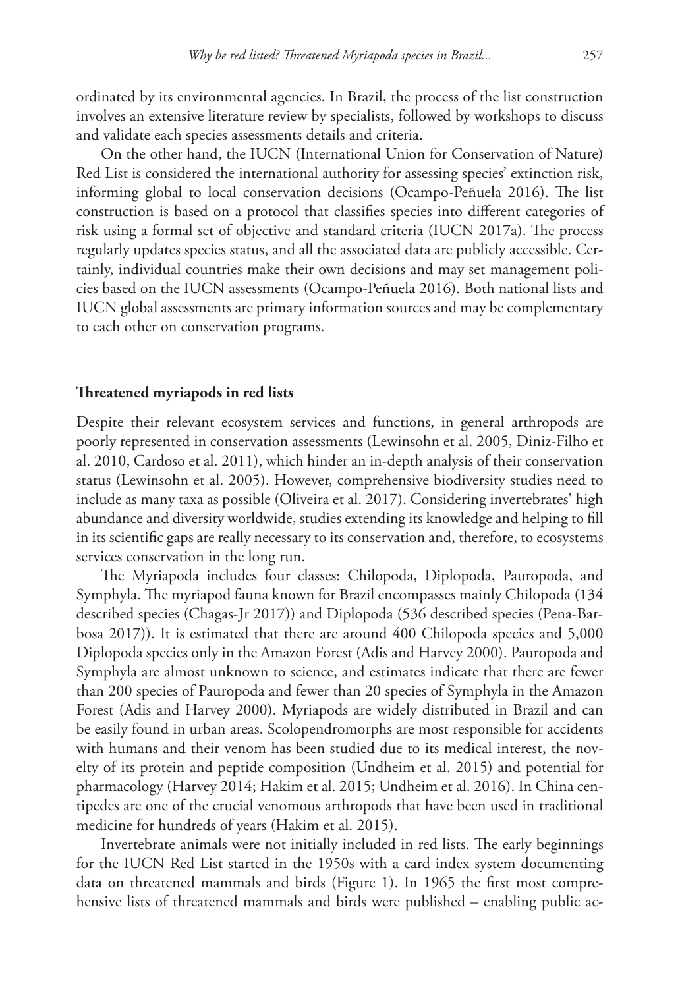ordinated by its environmental agencies. In Brazil, the process of the list construction involves an extensive literature review by specialists, followed by workshops to discuss and validate each species assessments details and criteria.

On the other hand, the IUCN (International Union for Conservation of Nature) Red List is considered the international authority for assessing species' extinction risk, informing global to local conservation decisions (Ocampo-Peñuela 2016). The list construction is based on a protocol that classifies species into different categories of risk using a formal set of objective and standard criteria (IUCN 2017a). The process regularly updates species status, and all the associated data are publicly accessible. Certainly, individual countries make their own decisions and may set management policies based on the IUCN assessments (Ocampo-Peñuela 2016). Both national lists and IUCN global assessments are primary information sources and may be complementary to each other on conservation programs.

# **Threatened myriapods in red lists**

Despite their relevant ecosystem services and functions, in general arthropods are poorly represented in conservation assessments (Lewinsohn et al. 2005, Diniz-Filho et al. 2010, Cardoso et al. 2011), which hinder an in-depth analysis of their conservation status (Lewinsohn et al. 2005). However, comprehensive biodiversity studies need to include as many taxa as possible (Oliveira et al. 2017). Considering invertebrates' high abundance and diversity worldwide, studies extending its knowledge and helping to fill in its scientific gaps are really necessary to its conservation and, therefore, to ecosystems services conservation in the long run.

The Myriapoda includes four classes: Chilopoda, Diplopoda, Pauropoda, and Symphyla. The myriapod fauna known for Brazil encompasses mainly Chilopoda (134 described species (Chagas-Jr 2017)) and Diplopoda (536 described species (Pena-Barbosa 2017)). It is estimated that there are around 400 Chilopoda species and 5,000 Diplopoda species only in the Amazon Forest (Adis and Harvey 2000). Pauropoda and Symphyla are almost unknown to science, and estimates indicate that there are fewer than 200 species of Pauropoda and fewer than 20 species of Symphyla in the Amazon Forest (Adis and Harvey 2000). Myriapods are widely distributed in Brazil and can be easily found in urban areas. Scolopendromorphs are most responsible for accidents with humans and their venom has been studied due to its medical interest, the novelty of its protein and peptide composition (Undheim et al. 2015) and potential for pharmacology (Harvey 2014; Hakim et al. 2015; Undheim et al. 2016). In China centipedes are one of the crucial venomous arthropods that have been used in traditional medicine for hundreds of years (Hakim et al. 2015).

Invertebrate animals were not initially included in red lists. The early beginnings for the IUCN Red List started in the 1950s with a card index system documenting data on threatened mammals and birds (Figure 1). In 1965 the first most comprehensive lists of threatened mammals and birds were published – enabling public ac-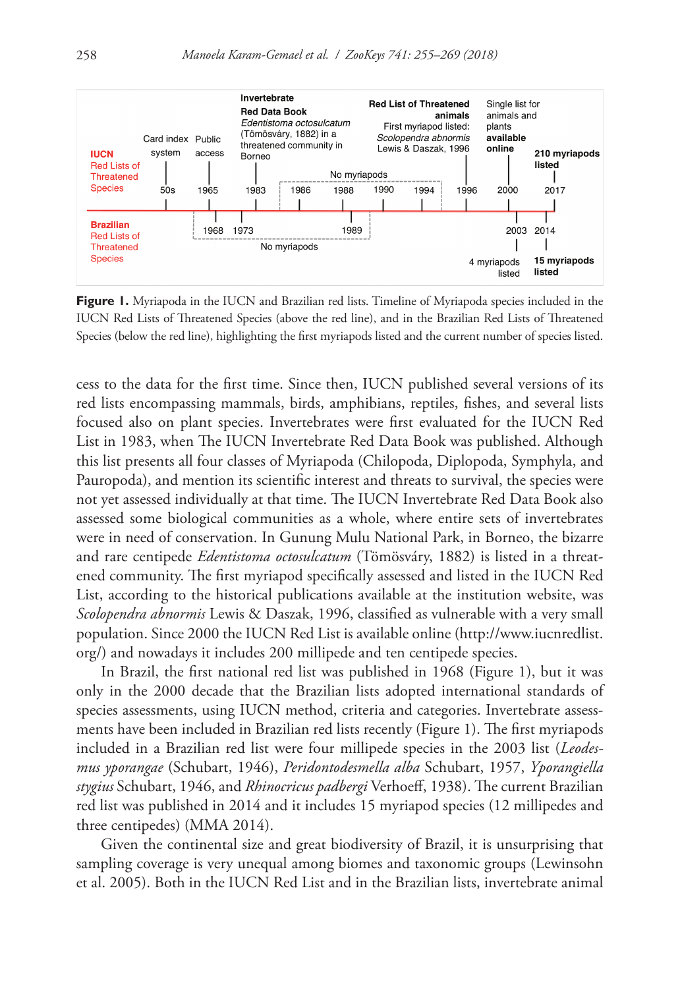

**Figure 1.** Myriapoda in the IUCN and Brazilian red lists. Timeline of Myriapoda species included in the IUCN Red Lists of Threatened Species (above the red line), and in the Brazilian Red Lists of Threatened Species (below the red line), highlighting the first myriapods listed and the current number of species listed.

cess to the data for the first time. Since then, IUCN published several versions of its red lists encompassing mammals, birds, amphibians, reptiles, fishes, and several lists focused also on plant species. Invertebrates were first evaluated for the IUCN Red List in 1983, when The IUCN Invertebrate Red Data Book was published. Although this list presents all four classes of Myriapoda (Chilopoda, Diplopoda, Symphyla, and Pauropoda), and mention its scientific interest and threats to survival, the species were not yet assessed individually at that time. The IUCN Invertebrate Red Data Book also assessed some biological communities as a whole, where entire sets of invertebrates were in need of conservation. In Gunung Mulu National Park, in Borneo, the bizarre and rare centipede *Edentistoma octosulcatum* (Tömösváry, 1882) is listed in a threatened community. The first myriapod specifically assessed and listed in the IUCN Red List, according to the historical publications available at the institution website, was *Scolopendra abnormis* Lewis & Daszak, 1996, classified as vulnerable with a very small population. Since 2000 the IUCN Red List is available online [\(http://www.iucnredlist.](http://www.iucnredlist.org/) [org/\)](http://www.iucnredlist.org/) and nowadays it includes 200 millipede and ten centipede species.

In Brazil, the first national red list was published in 1968 (Figure 1), but it was only in the 2000 decade that the Brazilian lists adopted international standards of species assessments, using IUCN method, criteria and categories. Invertebrate assessments have been included in Brazilian red lists recently (Figure 1). The first myriapods included in a Brazilian red list were four millipede species in the 2003 list (*Leodesmus yporangae* (Schubart, 1946), *Peridontodesmella alba* Schubart, 1957, *Yporangiella stygius* Schubart, 1946, and *Rhinocricus padbergi* Verhoeff, 1938). The current Brazilian red list was published in 2014 and it includes 15 myriapod species (12 millipedes and three centipedes) (MMA 2014).

Given the continental size and great biodiversity of Brazil, it is unsurprising that sampling coverage is very unequal among biomes and taxonomic groups (Lewinsohn et al. 2005). Both in the IUCN Red List and in the Brazilian lists, invertebrate animal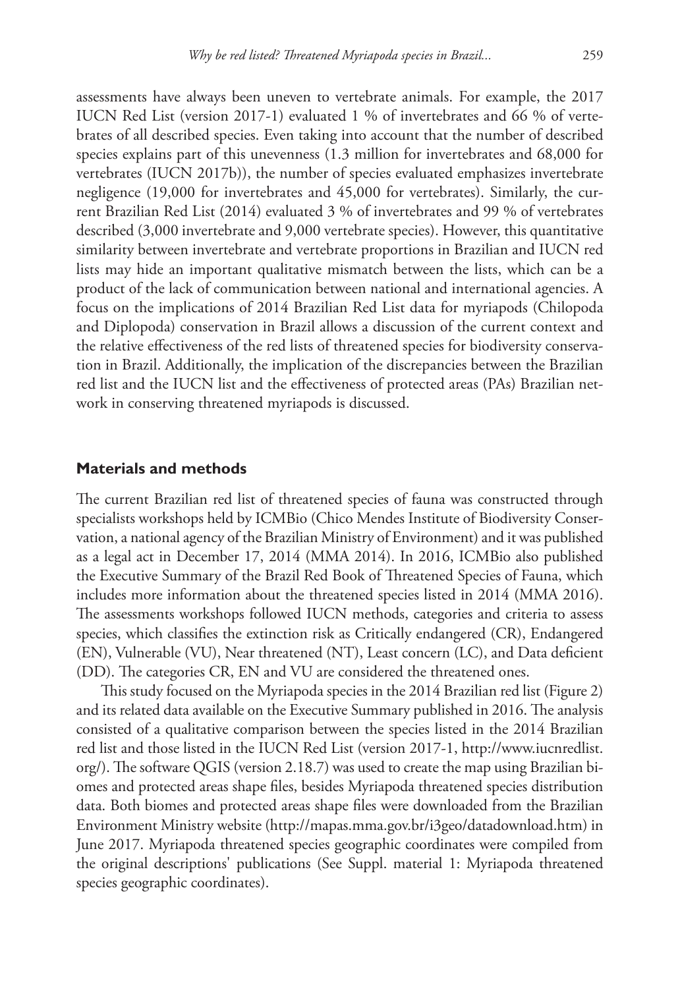assessments have always been uneven to vertebrate animals. For example, the 2017 IUCN Red List (version 2017-1) evaluated 1 % of invertebrates and 66 % of vertebrates of all described species. Even taking into account that the number of described species explains part of this unevenness (1.3 million for invertebrates and 68,000 for vertebrates (IUCN 2017b)), the number of species evaluated emphasizes invertebrate negligence (19,000 for invertebrates and 45,000 for vertebrates). Similarly, the current Brazilian Red List (2014) evaluated 3 % of invertebrates and 99 % of vertebrates described (3,000 invertebrate and 9,000 vertebrate species). However, this quantitative similarity between invertebrate and vertebrate proportions in Brazilian and IUCN red lists may hide an important qualitative mismatch between the lists, which can be a product of the lack of communication between national and international agencies. A focus on the implications of 2014 Brazilian Red List data for myriapods (Chilopoda and Diplopoda) conservation in Brazil allows a discussion of the current context and the relative effectiveness of the red lists of threatened species for biodiversity conservation in Brazil. Additionally, the implication of the discrepancies between the Brazilian red list and the IUCN list and the effectiveness of protected areas (PAs) Brazilian network in conserving threatened myriapods is discussed.

## **Materials and methods**

The current Brazilian red list of threatened species of fauna was constructed through specialists workshops held by ICMBio (Chico Mendes Institute of Biodiversity Conservation, a national agency of the Brazilian Ministry of Environment) and it was published as a legal act in December 17, 2014 (MMA 2014). In 2016, ICMBio also published the Executive Summary of the Brazil Red Book of Threatened Species of Fauna, which includes more information about the threatened species listed in 2014 (MMA 2016). The assessments workshops followed IUCN methods, categories and criteria to assess species, which classifies the extinction risk as Critically endangered (CR), Endangered (EN), Vulnerable (VU), Near threatened (NT), Least concern (LC), and Data deficient (DD). The categories CR, EN and VU are considered the threatened ones.

This study focused on the Myriapoda species in the 2014 Brazilian red list (Figure 2) and its related data available on the Executive Summary published in 2016. The analysis consisted of a qualitative comparison between the species listed in the 2014 Brazilian red list and those listed in the IUCN Red List (version 2017-1, [http://www.iucnredlist.](http://www.iucnredlist.org/) [org/\)](http://www.iucnredlist.org/). The software QGIS (version 2.18.7) was used to create the map using Brazilian biomes and protected areas shape files, besides Myriapoda threatened species distribution data. Both biomes and protected areas shape files were downloaded from the Brazilian Environment Ministry website ([http://mapas.mma.gov.br/i3geo/datadownload.htm\)](http://mapas.mma.gov.br/i3geo/datadownload.htm) in June 2017. Myriapoda threatened species geographic coordinates were compiled from the original descriptions' publications (See Suppl. material 1: Myriapoda threatened species geographic coordinates).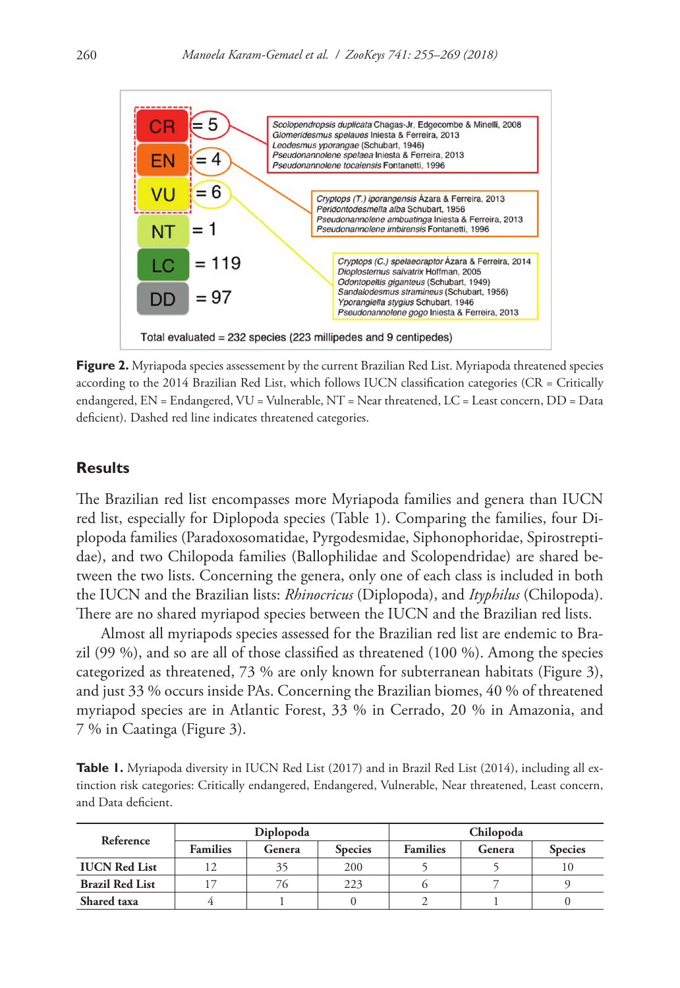

**Figure 2.** Myriapoda species assessement by the current Brazilian Red List. Myriapoda threatened species according to the 2014 Brazilian Red List, which follows IUCN classification categories (CR = Critically endangered, EN = Endangered, VU = Vulnerable, NT = Near threatened, LC = Least concern, DD = Data deficient). Dashed red line indicates threatened categories.

# **Results**

The Brazilian red list encompasses more Myriapoda families and genera than IUCN red list, especially for Diplopoda species (Table 1). Comparing the families, four Diplopoda families (Paradoxosomatidae, Pyrgodesmidae, Siphonophoridae, Spirostreptidae), and two Chilopoda families (Ballophilidae and Scolopendridae) are shared between the two lists. Concerning the genera, only one of each class is included in both the IUCN and the Brazilian lists: *Rhinocricus* (Diplopoda), and *Ityphilus* (Chilopoda). There are no shared myriapod species between the IUCN and the Brazilian red lists.

Almost all myriapods species assessed for the Brazilian red list are endemic to Brazil (99 %), and so are all of those classified as threatened (100 %). Among the species categorized as threatened, 73 % are only known for subterranean habitats (Figure 3), and just 33 % occurs inside PAs. Concerning the Brazilian biomes, 40 % of threatened myriapod species are in Atlantic Forest, 33 % in Cerrado, 20 % in Amazonia, and 7 % in Caatinga (Figure 3).

Table 1. Myriapoda diversity in IUCN Red List (2017) and in Brazil Red List (2014), including all extinction risk categories: Critically endangered, Endangered, Vulnerable, Near threatened, Least concern, and Data deficient.

| Reference              | Diplopoda       |        |                | Chilopoda       |        |                |
|------------------------|-----------------|--------|----------------|-----------------|--------|----------------|
|                        | <b>Families</b> | Genera | <b>Species</b> | <b>Families</b> | Genera | <b>Species</b> |
| <b>IUCN</b> Red List   |                 | 35     | 200            |                 |        | 10             |
| <b>Brazil Red List</b> |                 | 76     | 223            |                 |        |                |
| Shared taxa            |                 |        |                |                 |        |                |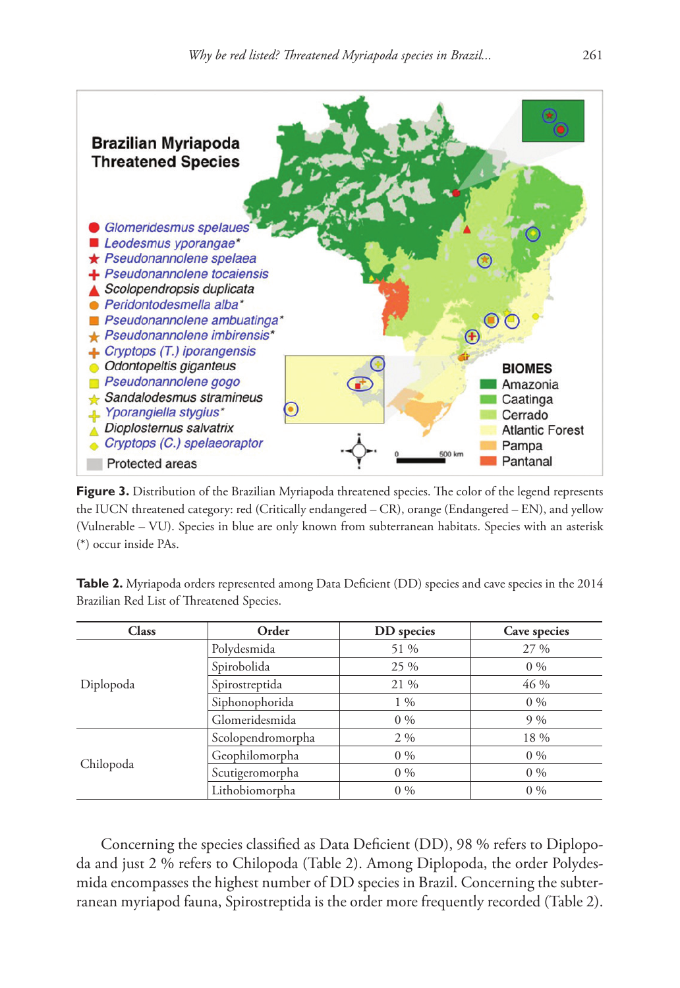

Figure 3. Distribution of the Brazilian Myriapoda threatened species. The color of the legend represents the IUCN threatened category: red (Critically endangered – CR), orange (Endangered – EN), and yellow (Vulnerable – VU). Species in blue are only known from subterranean habitats. Species with an asterisk (\*) occur inside PAs.

**Table 2.** Myriapoda orders represented among Data Deficient (DD) species and cave species in the 2014 Brazilian Red List of Threatened Species.

| <b>Class</b> | Order             | DD species | Cave species |  |
|--------------|-------------------|------------|--------------|--|
| Diplopoda    | Polydesmida       | 51 %       | 27 %         |  |
|              | Spirobolida       | 25 %       | $0\%$        |  |
|              | Spirostreptida    | 21 %       | 46 %         |  |
|              | Siphonophorida    | $1\%$      | $0\%$        |  |
|              | Glomeridesmida    | $0\%$      | $9\%$        |  |
| Chilopoda    | Scolopendromorpha | $2\%$      | 18 %         |  |
|              | Geophilomorpha    | $0\%$      | $0\%$        |  |
|              | Scutigeromorpha   | $0\%$      | $0\%$        |  |
|              | Lithobiomorpha    | $0\%$      | $0\%$        |  |

Concerning the species classified as Data Deficient (DD), 98 % refers to Diplopoda and just 2 % refers to Chilopoda (Table 2). Among Diplopoda, the order Polydesmida encompasses the highest number of DD species in Brazil. Concerning the subterranean myriapod fauna, Spirostreptida is the order more frequently recorded (Table 2).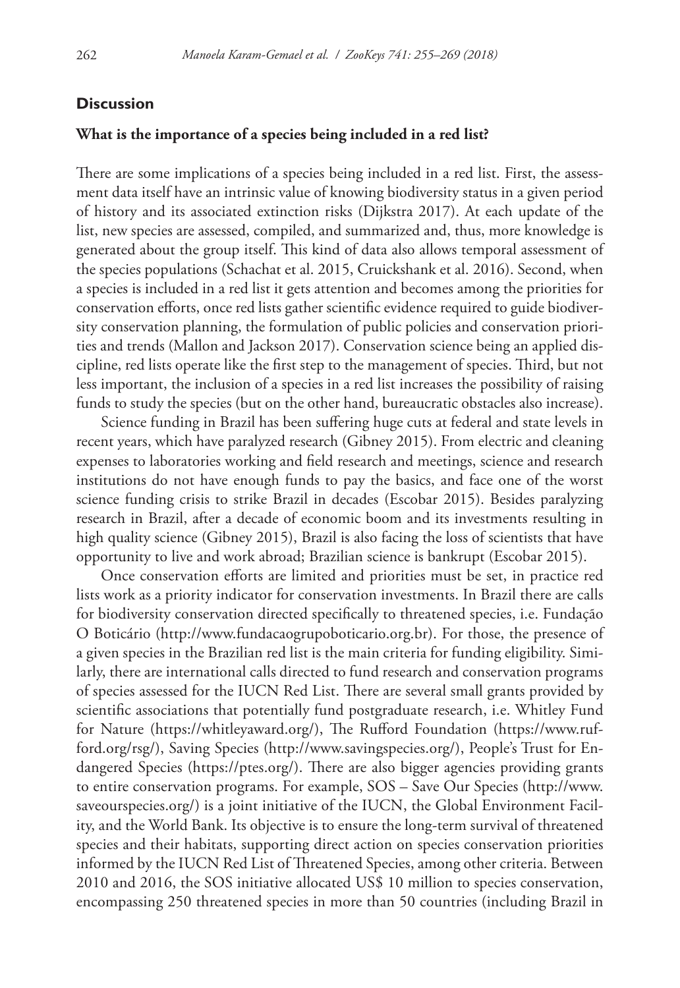# **Discussion**

## **What is the importance of a species being included in a red list?**

There are some implications of a species being included in a red list. First, the assessment data itself have an intrinsic value of knowing biodiversity status in a given period of history and its associated extinction risks (Dijkstra 2017). At each update of the list, new species are assessed, compiled, and summarized and, thus, more knowledge is generated about the group itself. This kind of data also allows temporal assessment of the species populations (Schachat et al. 2015, Cruickshank et al. 2016). Second, when a species is included in a red list it gets attention and becomes among the priorities for conservation efforts, once red lists gather scientific evidence required to guide biodiversity conservation planning, the formulation of public policies and conservation priorities and trends (Mallon and Jackson 2017). Conservation science being an applied discipline, red lists operate like the first step to the management of species. Third, but not less important, the inclusion of a species in a red list increases the possibility of raising funds to study the species (but on the other hand, bureaucratic obstacles also increase).

Science funding in Brazil has been suffering huge cuts at federal and state levels in recent years, which have paralyzed research (Gibney 2015). From electric and cleaning expenses to laboratories working and field research and meetings, science and research institutions do not have enough funds to pay the basics, and face one of the worst science funding crisis to strike Brazil in decades (Escobar 2015). Besides paralyzing research in Brazil, after a decade of economic boom and its investments resulting in high quality science (Gibney 2015), Brazil is also facing the loss of scientists that have opportunity to live and work abroad; Brazilian science is bankrupt (Escobar 2015).

Once conservation efforts are limited and priorities must be set, in practice red lists work as a priority indicator for conservation investments. In Brazil there are calls for biodiversity conservation directed specifically to threatened species, i.e. Fundação O Boticário (<http://www.fundacaogrupoboticario.org.br>). For those, the presence of a given species in the Brazilian red list is the main criteria for funding eligibility. Similarly, there are international calls directed to fund research and conservation programs of species assessed for the IUCN Red List. There are several small grants provided by scientific associations that potentially fund postgraduate research, i.e. Whitley Fund for Nature (<https://whitleyaward.org/>), The Rufford Foundation [\(https://www.ruf](https://www.rufford.org/rsg/)[ford.org/rsg/\)](https://www.rufford.org/rsg/), Saving Species (<http://www.savingspecies.org/>), People's Trust for Endangered Species (<https://ptes.org/>). There are also bigger agencies providing grants to entire conservation programs. For example, SOS – Save Our Species [\(http://www.](http://www.saveourspecies.org/) [saveourspecies.org/](http://www.saveourspecies.org/)) is a joint initiative of the IUCN, the Global Environment Facility, and the World Bank. Its objective is to ensure the long-term survival of threatened species and their habitats, supporting direct action on species conservation priorities informed by the IUCN Red List of Threatened Species, among other criteria. Between 2010 and 2016, the SOS initiative allocated US\$ 10 million to species conservation, encompassing 250 threatened species in more than 50 countries (including Brazil in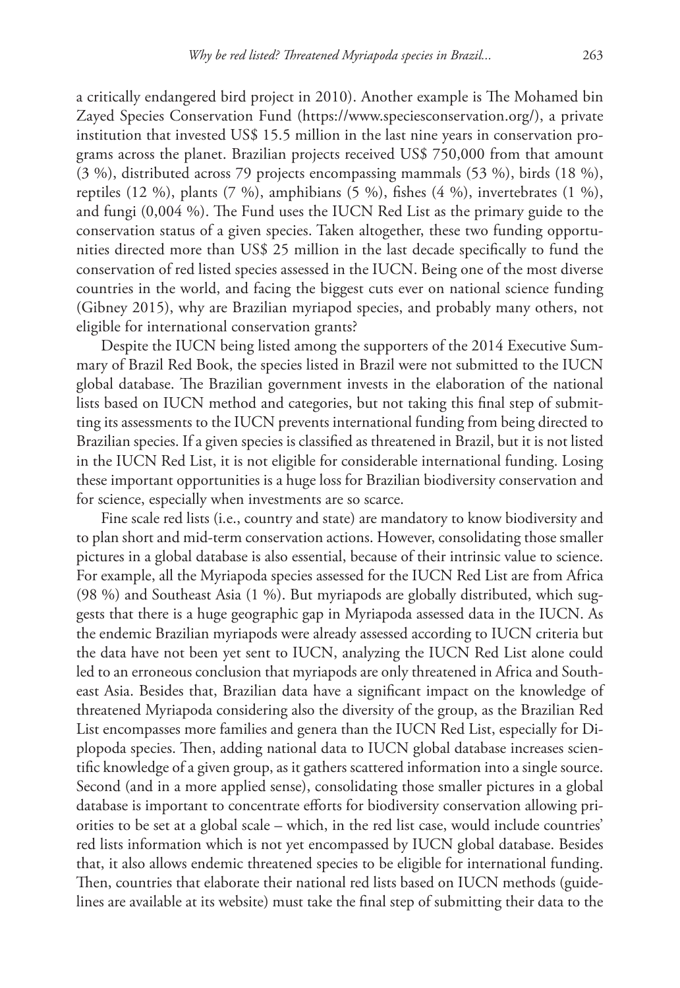a critically endangered bird project in 2010). Another example is The Mohamed bin Zayed Species Conservation Fund [\(https://www.speciesconservation.org/\)](https://www.speciesconservation.org/), a private institution that invested US\$ 15.5 million in the last nine years in conservation programs across the planet. Brazilian projects received US\$ 750,000 from that amount (3 %), distributed across 79 projects encompassing mammals (53 %), birds (18 %), reptiles  $(12 \%)$ , plants  $(7 \%)$ , amphibians  $(5 \%)$ , fishes  $(4 \%)$ , invertebrates  $(1 \%)$ , and fungi (0,004 %). The Fund uses the IUCN Red List as the primary guide to the conservation status of a given species. Taken altogether, these two funding opportunities directed more than US\$ 25 million in the last decade specifically to fund the conservation of red listed species assessed in the IUCN. Being one of the most diverse countries in the world, and facing the biggest cuts ever on national science funding (Gibney 2015), why are Brazilian myriapod species, and probably many others, not eligible for international conservation grants?

Despite the IUCN being listed among the supporters of the 2014 Executive Summary of Brazil Red Book, the species listed in Brazil were not submitted to the IUCN global database. The Brazilian government invests in the elaboration of the national lists based on IUCN method and categories, but not taking this final step of submitting its assessments to the IUCN prevents international funding from being directed to Brazilian species. If a given species is classified as threatened in Brazil, but it is not listed in the IUCN Red List, it is not eligible for considerable international funding. Losing these important opportunities is a huge loss for Brazilian biodiversity conservation and for science, especially when investments are so scarce.

Fine scale red lists (i.e., country and state) are mandatory to know biodiversity and to plan short and mid-term conservation actions. However, consolidating those smaller pictures in a global database is also essential, because of their intrinsic value to science. For example, all the Myriapoda species assessed for the IUCN Red List are from Africa (98 %) and Southeast Asia (1 %). But myriapods are globally distributed, which suggests that there is a huge geographic gap in Myriapoda assessed data in the IUCN. As the endemic Brazilian myriapods were already assessed according to IUCN criteria but the data have not been yet sent to IUCN, analyzing the IUCN Red List alone could led to an erroneous conclusion that myriapods are only threatened in Africa and Southeast Asia. Besides that, Brazilian data have a significant impact on the knowledge of threatened Myriapoda considering also the diversity of the group, as the Brazilian Red List encompasses more families and genera than the IUCN Red List, especially for Diplopoda species. Then, adding national data to IUCN global database increases scientific knowledge of a given group, as it gathers scattered information into a single source. Second (and in a more applied sense), consolidating those smaller pictures in a global database is important to concentrate efforts for biodiversity conservation allowing priorities to be set at a global scale – which, in the red list case, would include countries' red lists information which is not yet encompassed by IUCN global database. Besides that, it also allows endemic threatened species to be eligible for international funding. Then, countries that elaborate their national red lists based on IUCN methods (guidelines are available at its website) must take the final step of submitting their data to the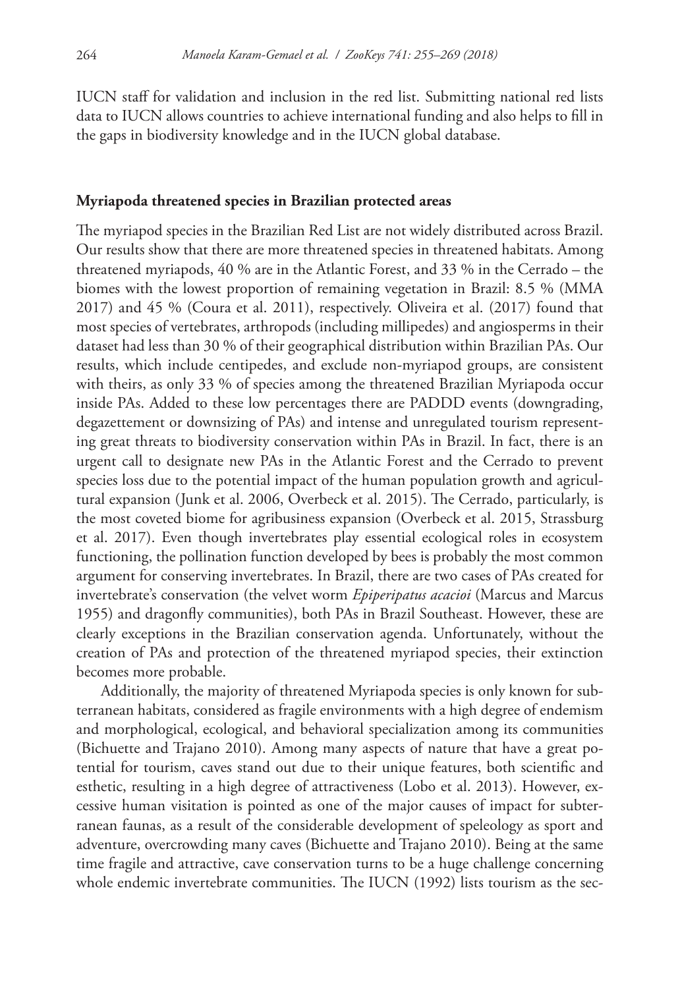IUCN staff for validation and inclusion in the red list. Submitting national red lists data to IUCN allows countries to achieve international funding and also helps to fill in the gaps in biodiversity knowledge and in the IUCN global database.

#### **Myriapoda threatened species in Brazilian protected areas**

The myriapod species in the Brazilian Red List are not widely distributed across Brazil. Our results show that there are more threatened species in threatened habitats. Among threatened myriapods, 40 % are in the Atlantic Forest, and 33 % in the Cerrado – the biomes with the lowest proportion of remaining vegetation in Brazil: 8.5 % (MMA 2017) and 45 % (Coura et al. 2011), respectively. Oliveira et al. (2017) found that most species of vertebrates, arthropods (including millipedes) and angiosperms in their dataset had less than 30 % of their geographical distribution within Brazilian PAs. Our results, which include centipedes, and exclude non-myriapod groups, are consistent with theirs, as only 33 % of species among the threatened Brazilian Myriapoda occur inside PAs. Added to these low percentages there are PADDD events (downgrading, degazettement or downsizing of PAs) and intense and unregulated tourism representing great threats to biodiversity conservation within PAs in Brazil. In fact, there is an urgent call to designate new PAs in the Atlantic Forest and the Cerrado to prevent species loss due to the potential impact of the human population growth and agricultural expansion (Junk et al. 2006, Overbeck et al. 2015). The Cerrado, particularly, is the most coveted biome for agribusiness expansion (Overbeck et al. 2015, Strassburg et al. 2017). Even though invertebrates play essential ecological roles in ecosystem functioning, the pollination function developed by bees is probably the most common argument for conserving invertebrates. In Brazil, there are two cases of PAs created for invertebrate's conservation (the velvet worm *Epiperipatus acacioi* (Marcus and Marcus 1955) and dragonfly communities), both PAs in Brazil Southeast. However, these are clearly exceptions in the Brazilian conservation agenda. Unfortunately, without the creation of PAs and protection of the threatened myriapod species, their extinction becomes more probable.

Additionally, the majority of threatened Myriapoda species is only known for subterranean habitats, considered as fragile environments with a high degree of endemism and morphological, ecological, and behavioral specialization among its communities (Bichuette and Trajano 2010). Among many aspects of nature that have a great potential for tourism, caves stand out due to their unique features, both scientific and esthetic, resulting in a high degree of attractiveness (Lobo et al. 2013). However, excessive human visitation is pointed as one of the major causes of impact for subterranean faunas, as a result of the considerable development of speleology as sport and adventure, overcrowding many caves (Bichuette and Trajano 2010). Being at the same time fragile and attractive, cave conservation turns to be a huge challenge concerning whole endemic invertebrate communities. The IUCN (1992) lists tourism as the sec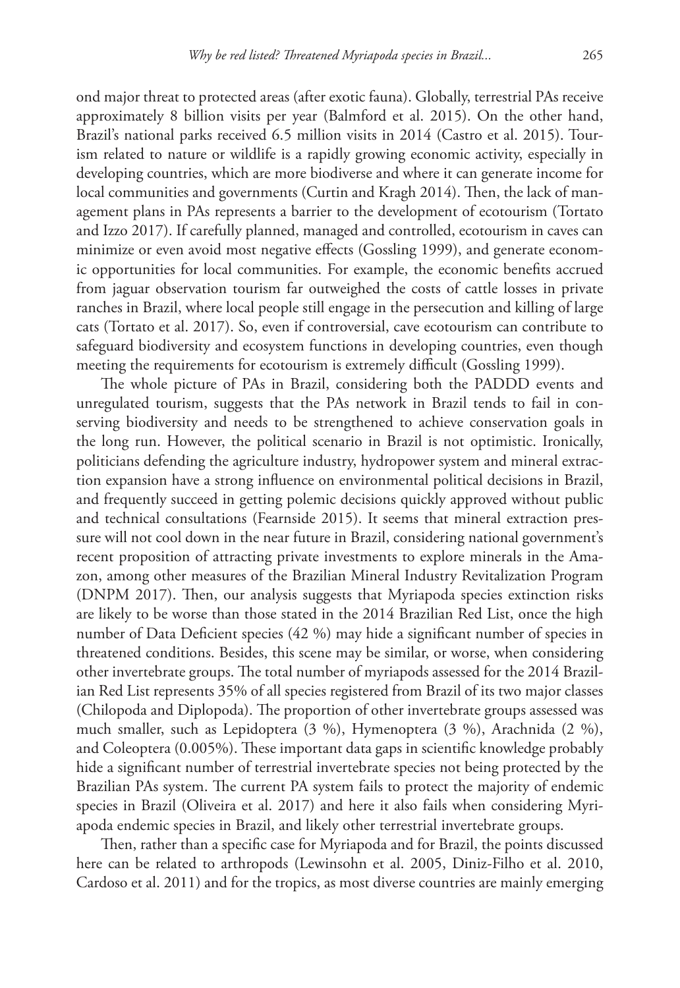ond major threat to protected areas (after exotic fauna). Globally, terrestrial PAs receive approximately 8 billion visits per year (Balmford et al. 2015). On the other hand, Brazil's national parks received 6.5 million visits in 2014 (Castro et al. 2015). Tourism related to nature or wildlife is a rapidly growing economic activity, especially in developing countries, which are more biodiverse and where it can generate income for local communities and governments (Curtin and Kragh 2014). Then, the lack of management plans in PAs represents a barrier to the development of ecotourism (Tortato and Izzo 2017). If carefully planned, managed and controlled, ecotourism in caves can minimize or even avoid most negative effects (Gossling 1999), and generate economic opportunities for local communities. For example, the economic benefits accrued from jaguar observation tourism far outweighed the costs of cattle losses in private ranches in Brazil, where local people still engage in the persecution and killing of large cats (Tortato et al. 2017). So, even if controversial, cave ecotourism can contribute to safeguard biodiversity and ecosystem functions in developing countries, even though meeting the requirements for ecotourism is extremely difficult (Gossling 1999).

The whole picture of PAs in Brazil, considering both the PADDD events and unregulated tourism, suggests that the PAs network in Brazil tends to fail in conserving biodiversity and needs to be strengthened to achieve conservation goals in the long run. However, the political scenario in Brazil is not optimistic. Ironically, politicians defending the agriculture industry, hydropower system and mineral extraction expansion have a strong influence on environmental political decisions in Brazil, and frequently succeed in getting polemic decisions quickly approved without public and technical consultations (Fearnside 2015). It seems that mineral extraction pressure will not cool down in the near future in Brazil, considering national government's recent proposition of attracting private investments to explore minerals in the Amazon, among other measures of the Brazilian Mineral Industry Revitalization Program (DNPM 2017). Then, our analysis suggests that Myriapoda species extinction risks are likely to be worse than those stated in the 2014 Brazilian Red List, once the high number of Data Deficient species (42 %) may hide a significant number of species in threatened conditions. Besides, this scene may be similar, or worse, when considering other invertebrate groups. The total number of myriapods assessed for the 2014 Brazilian Red List represents 35% of all species registered from Brazil of its two major classes (Chilopoda and Diplopoda). The proportion of other invertebrate groups assessed was much smaller, such as Lepidoptera (3 %), Hymenoptera (3 %), Arachnida (2 %), and Coleoptera (0.005%). These important data gaps in scientific knowledge probably hide a significant number of terrestrial invertebrate species not being protected by the Brazilian PAs system. The current PA system fails to protect the majority of endemic species in Brazil (Oliveira et al. 2017) and here it also fails when considering Myriapoda endemic species in Brazil, and likely other terrestrial invertebrate groups.

Then, rather than a specific case for Myriapoda and for Brazil, the points discussed here can be related to arthropods (Lewinsohn et al. 2005, Diniz-Filho et al. 2010, Cardoso et al. 2011) and for the tropics, as most diverse countries are mainly emerging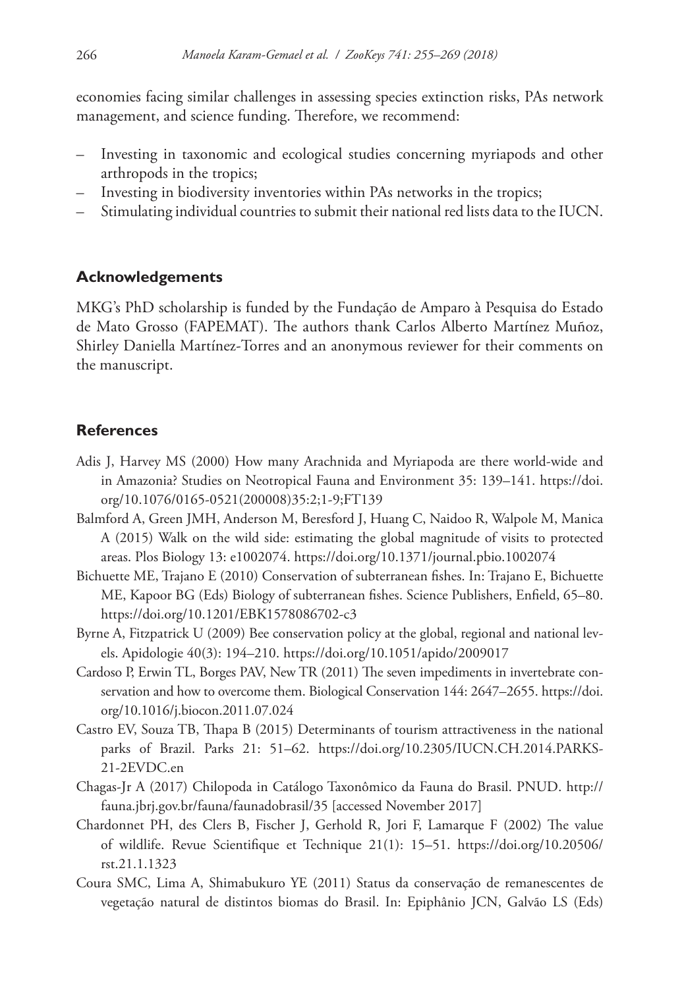economies facing similar challenges in assessing species extinction risks, PAs network management, and science funding. Therefore, we recommend:

- Investing in taxonomic and ecological studies concerning myriapods and other arthropods in the tropics;
- Investing in biodiversity inventories within PAs networks in the tropics;
- Stimulating individual countries to submit their national red lists data to the IUCN.

# **Acknowledgements**

MKG's PhD scholarship is funded by the Fundação de Amparo à Pesquisa do Estado de Mato Grosso (FAPEMAT). The authors thank Carlos Alberto Martínez Muñoz, Shirley Daniella Martínez-Torres and an anonymous reviewer for their comments on the manuscript.

# **References**

- Adis J, Harvey MS (2000) How many Arachnida and Myriapoda are there world-wide and in Amazonia? Studies on Neotropical Fauna and Environment 35: 139–141. [https://doi.](https://doi.org/10.1076/0165-0521(200008)35:2;1-9;FT139) [org/10.1076/0165-0521\(200008\)35:2;1-9;FT139](https://doi.org/10.1076/0165-0521(200008)35:2;1-9;FT139)
- Balmford A, Green JMH, Anderson M, Beresford J, Huang C, Naidoo R, Walpole M, Manica A (2015) Walk on the wild side: estimating the global magnitude of visits to protected areas. Plos Biology 13: e1002074.<https://doi.org/10.1371/journal.pbio.1002074>
- Bichuette ME, Trajano E (2010) Conservation of subterranean fishes. In: Trajano E, Bichuette ME, Kapoor BG (Eds) Biology of subterranean fishes. Science Publishers, Enfield, 65–80. <https://doi.org/10.1201/EBK1578086702-c3>
- Byrne A, Fitzpatrick U (2009) Bee conservation policy at the global, regional and national levels. Apidologie 40(3): 194–210.<https://doi.org/10.1051/apido/2009017>
- Cardoso P, Erwin TL, Borges PAV, New TR (2011) The seven impediments in invertebrate conservation and how to overcome them. Biological Conservation 144: 2647–2655. [https://doi.](https://doi.org/10.1016/j.biocon.2011.07.024) [org/10.1016/j.biocon.2011.07.024](https://doi.org/10.1016/j.biocon.2011.07.024)
- Castro EV, Souza TB, Thapa B (2015) Determinants of tourism attractiveness in the national parks of Brazil. Parks 21: 51–62. [https://doi.org/10.2305/IUCN.CH.2014.PARKS-](https://doi.org/10.2305/IUCN.CH.2014.PARKS-21-2EVDC.en)[21-2EVDC.en](https://doi.org/10.2305/IUCN.CH.2014.PARKS-21-2EVDC.en)
- Chagas-Jr A (2017) Chilopoda in Catálogo Taxonômico da Fauna do Brasil. PNUD. [http://](http://fauna.jbrj.gov.br/fauna/faunadobrasil/35) [fauna.jbrj.gov.br/fauna/faunadobrasil/35](http://fauna.jbrj.gov.br/fauna/faunadobrasil/35) [accessed November 2017]
- Chardonnet PH, des Clers B, Fischer J, Gerhold R, Jori F, Lamarque F (2002) The value of wildlife. Revue Scientifique et Technique 21(1): 15–51. [https://doi.org/10.20506/](https://doi.org/10.20506/rst.21.1.1323) [rst.21.1.1323](https://doi.org/10.20506/rst.21.1.1323)
- Coura SMC, Lima A, Shimabukuro YE (2011) Status da conservação de remanescentes de vegetação natural de distintos biomas do Brasil. In: Epiphânio JCN, Galvão LS (Eds)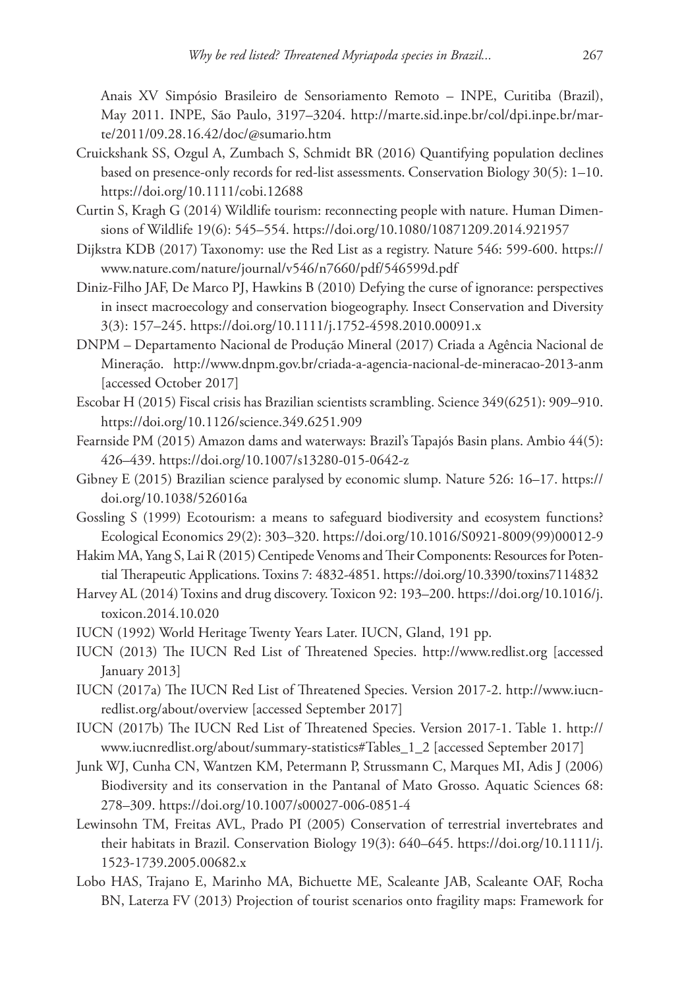Anais XV Simpósio Brasileiro de Sensoriamento Remoto – INPE, Curitiba (Brazil), May 2011. INPE, São Paulo, 3197–3204. [http://marte.sid.inpe.br/col/dpi.inpe.br/mar](http://marte.sid.inpe.br/col/dpi.inpe.br/marte/2011/09.28.16.42/doc/@sumario.htm)[te/2011/09.28.16.42/doc/@sumario.htm](http://marte.sid.inpe.br/col/dpi.inpe.br/marte/2011/09.28.16.42/doc/@sumario.htm)

- Cruickshank SS, Ozgul A, Zumbach S, Schmidt BR (2016) Quantifying population declines based on presence-only records for red-list assessments. Conservation Biology 30(5): 1–10. <https://doi.org/10.1111/cobi.12688>
- Curtin S, Kragh G (2014) Wildlife tourism: reconnecting people with nature. Human Dimensions of Wildlife 19(6): 545–554. <https://doi.org/10.1080/10871209.2014.921957>
- Dijkstra KDB (2017) Taxonomy: use the Red List as a registry. Nature 546: 599-600. [https://](https://www.nature.com/nature/journal/v546/n7660/pdf/546599d.pdf) [www.nature.com/nature/journal/v546/n7660/pdf/546599d.pdf](https://www.nature.com/nature/journal/v546/n7660/pdf/546599d.pdf)
- Diniz-Filho JAF, De Marco PJ, Hawkins B (2010) Defying the curse of ignorance: perspectives in insect macroecology and conservation biogeography. Insect Conservation and Diversity 3(3): 157–245. <https://doi.org/10.1111/j.1752-4598.2010.00091.x>
- DNPM Departamento Nacional de Produção Mineral (2017) Criada a Agência Nacional de Mineração. <http://www.dnpm.gov.br/criada-a-agencia-nacional-de-mineracao-2013-anm> [accessed October 2017]
- Escobar H (2015) Fiscal crisis has Brazilian scientists scrambling. Science 349(6251): 909–910. <https://doi.org/10.1126/science.349.6251.909>
- Fearnside PM (2015) Amazon dams and waterways: Brazil's Tapajós Basin plans. Ambio 44(5): 426–439.<https://doi.org/10.1007/s13280-015-0642-z>
- Gibney E (2015) Brazilian science paralysed by economic slump. Nature 526: 16–17. [https://](https://doi.org/10.1038/526016a) [doi.org/10.1038/526016a](https://doi.org/10.1038/526016a)
- Gossling S (1999) Ecotourism: a means to safeguard biodiversity and ecosystem functions? Ecological Economics 29(2): 303–320. [https://doi.org/10.1016/S0921-8009\(99\)00012-9](https://doi.org/10.1016/S0921-8009(99)00012-9)
- Hakim MA, Yang S, Lai R (2015) Centipede Venoms and Their Components: Resources for Potential Therapeutic Applications. Toxins 7: 4832-4851. <https://doi.org/10.3390/toxins7114832>
- Harvey AL (2014) Toxins and drug discovery. Toxicon 92: 193–200. [https://doi.org/10.1016/j.](https://doi.org/10.1016/j.toxicon.2014.10.020) [toxicon.2014.10.020](https://doi.org/10.1016/j.toxicon.2014.10.020)
- IUCN (1992) World Heritage Twenty Years Later. IUCN, Gland, 191 pp.
- IUCN (2013) The IUCN Red List of Threatened Species. <http://www.redlist.org>[accessed January 2013]
- IUCN (2017a) The IUCN Red List of Threatened Species. Version 2017-2. [http://www.iucn](http://www.iucnredlist.org/about/overview)[redlist.org/about/overview](http://www.iucnredlist.org/about/overview) [accessed September 2017]
- IUCN (2017b) The IUCN Red List of Threatened Species. Version 2017-1. Table 1. [http://](http://www.iucnredlist.org/about/summary-statistics#Tables_1_2) [www.iucnredlist.org/about/summary-statistics#Tables\\_1\\_2](http://www.iucnredlist.org/about/summary-statistics#Tables_1_2) [accessed September 2017]
- Junk WJ, Cunha CN, Wantzen KM, Petermann P, Strussmann C, Marques MI, Adis J (2006) Biodiversity and its conservation in the Pantanal of Mato Grosso. Aquatic Sciences 68: 278–309.<https://doi.org/10.1007/s00027-006-0851-4>
- Lewinsohn TM, Freitas AVL, Prado PI (2005) Conservation of terrestrial invertebrates and their habitats in Brazil. Conservation Biology 19(3): 640–645. [https://doi.org/10.1111/j.](https://doi.org/10.1111/j.1523-1739.2005.00682.x) [1523-1739.2005.00682.x](https://doi.org/10.1111/j.1523-1739.2005.00682.x)
- Lobo HAS, Trajano E, Marinho MA, Bichuette ME, Scaleante JAB, Scaleante OAF, Rocha BN, Laterza FV (2013) Projection of tourist scenarios onto fragility maps: Framework for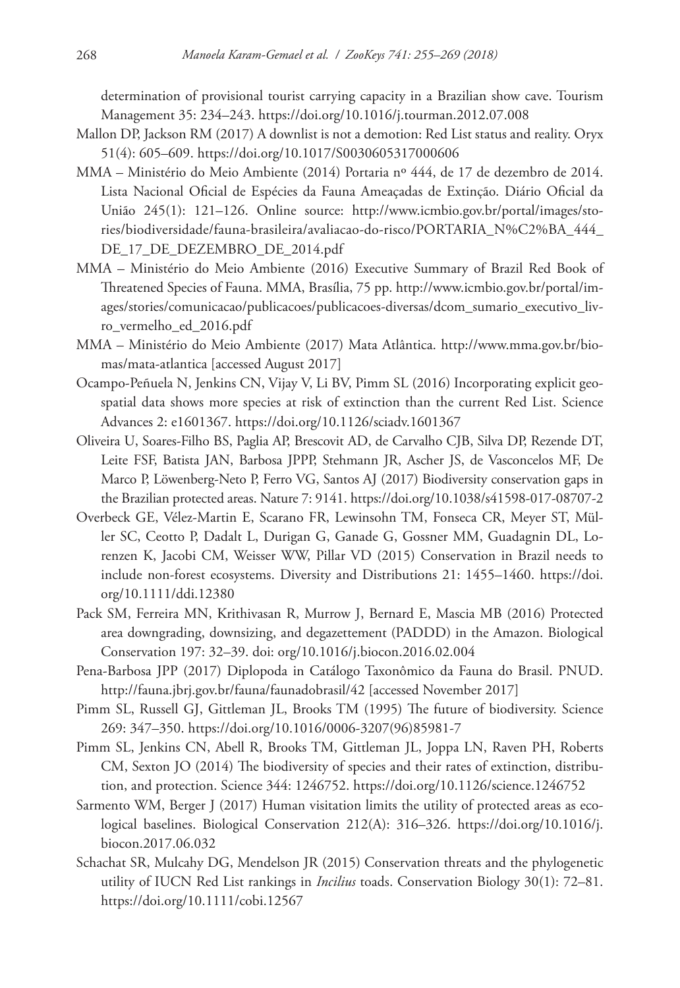determination of provisional tourist carrying capacity in a Brazilian show cave. Tourism Management 35: 234–243. <https://doi.org/10.1016/j.tourman.2012.07.008>

- Mallon DP, Jackson RM (2017) A downlist is not a demotion: Red List status and reality. Oryx 51(4): 605–609. <https://doi.org/10.1017/S0030605317000606>
- MMA Ministério do Meio Ambiente (2014) Portaria nº 444, de 17 de dezembro de 2014. Lista Nacional Oficial de Espécies da Fauna Ameaçadas de Extinção. Diário Oficial da União 245(1): 121–126. Online source: [http://www.icmbio.gov.br/portal/images/sto](http://www.icmbio.gov.br/portal/images/stories/biodiversidade/fauna-brasileira/avaliacao-do-risco/PORTARIA_N%C2%BA_444_DE_17_DE_DEZEMBRO_DE_2014.pdf)[ries/biodiversidade/fauna-brasileira/avaliacao-do-risco/PORTARIA\\_N%C2%BA\\_444\\_](http://www.icmbio.gov.br/portal/images/stories/biodiversidade/fauna-brasileira/avaliacao-do-risco/PORTARIA_N%C2%BA_444_DE_17_DE_DEZEMBRO_DE_2014.pdf) [DE\\_17\\_DE\\_DEZEMBRO\\_DE\\_2014.pdf](http://www.icmbio.gov.br/portal/images/stories/biodiversidade/fauna-brasileira/avaliacao-do-risco/PORTARIA_N%C2%BA_444_DE_17_DE_DEZEMBRO_DE_2014.pdf)
- MMA Ministério do Meio Ambiente (2016) Executive Summary of Brazil Red Book of Threatened Species of Fauna. MMA, Brasília, 75 pp. [http://www.icmbio.gov.br/portal/im](http://www.icmbio.gov.br/portal/images/stories/comunicacao/publicacoes/publicacoes-diversas/dcom_sumario_executivo_livro_vermelho_ed_2016.pdf)[ages/stories/comunicacao/publicacoes/publicacoes-diversas/dcom\\_sumario\\_executivo\\_liv](http://www.icmbio.gov.br/portal/images/stories/comunicacao/publicacoes/publicacoes-diversas/dcom_sumario_executivo_livro_vermelho_ed_2016.pdf)[ro\\_vermelho\\_ed\\_2016.pdf](http://www.icmbio.gov.br/portal/images/stories/comunicacao/publicacoes/publicacoes-diversas/dcom_sumario_executivo_livro_vermelho_ed_2016.pdf)
- MMA Ministério do Meio Ambiente (2017) Mata Atlântica. [http://www.mma.gov.br/bio](http://www.mma.gov.br/biomas/mata-atlantica)[mas/mata-atlantica](http://www.mma.gov.br/biomas/mata-atlantica) [accessed August 2017]
- Ocampo-Peñuela N, Jenkins CN, Vijay V, Li BV, Pimm SL (2016) Incorporating explicit geospatial data shows more species at risk of extinction than the current Red List. Science Advances 2: e1601367. <https://doi.org/10.1126/sciadv.1601367>
- Oliveira U, Soares-Filho BS, Paglia AP, Brescovit AD, de Carvalho CJB, Silva DP, Rezende DT, Leite FSF, Batista JAN, Barbosa JPPP, Stehmann JR, Ascher JS, de Vasconcelos MF, De Marco P, Löwenberg-Neto P, Ferro VG, Santos AJ (2017) Biodiversity conservation gaps in the Brazilian protected areas. Nature 7: 9141.<https://doi.org/10.1038/s41598-017-08707-2>
- Overbeck GE, Vélez-Martin E, Scarano FR, Lewinsohn TM, Fonseca CR, Meyer ST, Müller SC, Ceotto P, Dadalt L, Durigan G, Ganade G, Gossner MM, Guadagnin DL, Lorenzen K, Jacobi CM, Weisser WW, Pillar VD (2015) Conservation in Brazil needs to include non-forest ecosystems. Diversity and Distributions 21: 1455–1460. [https://doi.](https://doi.org/10.1111/ddi.12380) [org/10.1111/ddi.12380](https://doi.org/10.1111/ddi.12380)
- Pack SM, Ferreira MN, Krithivasan R, Murrow J, Bernard E, Mascia MB (2016) Protected area downgrading, downsizing, and degazettement (PADDD) in the Amazon. Biological Conservation 197: 32–39. doi: org/10.1016/j.biocon.2016.02.004
- Pena-Barbosa JPP (2017) Diplopoda in Catálogo Taxonômico da Fauna do Brasil. PNUD. <http://fauna.jbrj.gov.br/fauna/faunadobrasil/42> [accessed November 2017]
- Pimm SL, Russell GJ, Gittleman JL, Brooks TM (1995) The future of biodiversity. Science 269: 347–350. [https://doi.org/10.1016/0006-3207\(96\)85981-7](https://doi.org/10.1016/0006-3207(96)85981-7)
- Pimm SL, Jenkins CN, Abell R, Brooks TM, Gittleman JL, Joppa LN, Raven PH, Roberts CM, Sexton JO (2014) The biodiversity of species and their rates of extinction, distribution, and protection. Science 344: 1246752.<https://doi.org/10.1126/science.1246752>
- Sarmento WM, Berger J (2017) Human visitation limits the utility of protected areas as ecological baselines. Biological Conservation 212(A): 316–326. [https://doi.org/10.1016/j.](https://doi.org/10.1016/j.biocon.2017.06.032) [biocon.2017.06.032](https://doi.org/10.1016/j.biocon.2017.06.032)
- Schachat SR, Mulcahy DG, Mendelson JR (2015) Conservation threats and the phylogenetic utility of IUCN Red List rankings in *Incilius* toads. Conservation Biology 30(1): 72–81. <https://doi.org/10.1111/cobi.12567>